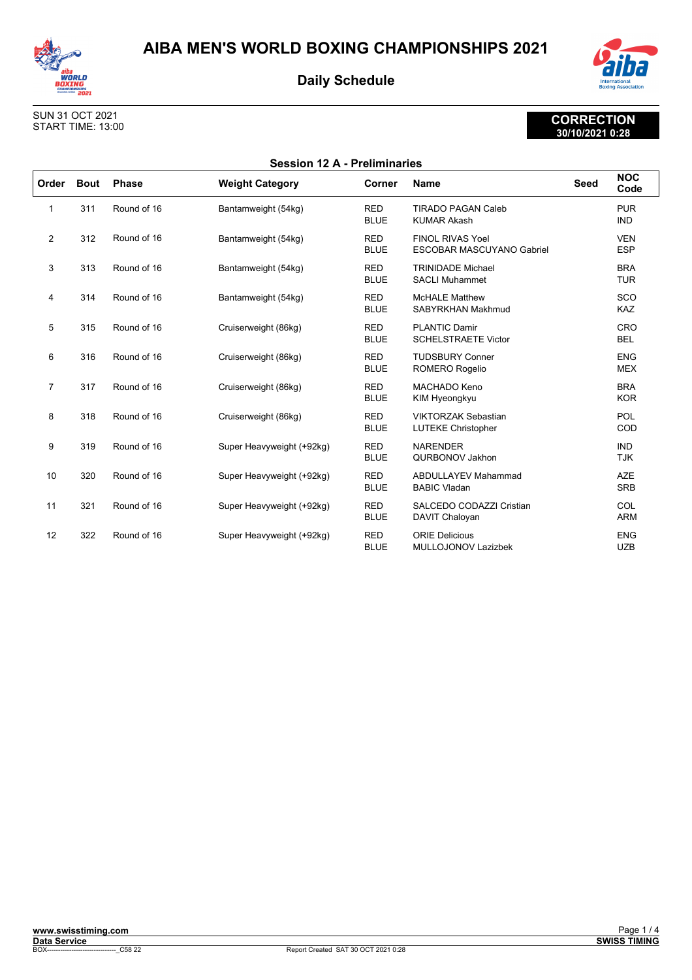



#### SUN 31 OCT 2021 START TIME: 13:00

| <b>Session 12 A - Preliminaries</b> |             |              |                           |                           |                                                             |             |                          |
|-------------------------------------|-------------|--------------|---------------------------|---------------------------|-------------------------------------------------------------|-------------|--------------------------|
| Order                               | <b>Bout</b> | <b>Phase</b> | <b>Weight Category</b>    | Corner                    | <b>Name</b>                                                 | <b>Seed</b> | <b>NOC</b><br>Code       |
| 1                                   | 311         | Round of 16  | Bantamweight (54kg)       | <b>RED</b><br><b>BLUE</b> | <b>TIRADO PAGAN Caleb</b><br><b>KUMAR Akash</b>             |             | <b>PUR</b><br><b>IND</b> |
| 2                                   | 312         | Round of 16  | Bantamweight (54kg)       | <b>RED</b><br><b>BLUE</b> | <b>FINOL RIVAS Yoel</b><br><b>ESCOBAR MASCUYANO Gabriel</b> |             | <b>VEN</b><br><b>ESP</b> |
| 3                                   | 313         | Round of 16  | Bantamweight (54kg)       | <b>RED</b><br><b>BLUE</b> | <b>TRINIDADE Michael</b><br><b>SACLI Muhammet</b>           |             | <b>BRA</b><br><b>TUR</b> |
| 4                                   | 314         | Round of 16  | Bantamweight (54kg)       | <b>RED</b><br><b>BLUE</b> | <b>McHALE Matthew</b><br>SABYRKHAN Makhmud                  |             | SCO<br><b>KAZ</b>        |
| 5                                   | 315         | Round of 16  | Cruiserweight (86kg)      | <b>RED</b><br><b>BLUE</b> | <b>PLANTIC Damir</b><br><b>SCHELSTRAETE Victor</b>          |             | CRO<br><b>BEL</b>        |
| 6                                   | 316         | Round of 16  | Cruiserweight (86kg)      | <b>RED</b><br><b>BLUE</b> | <b>TUDSBURY Conner</b><br><b>ROMERO Rogelio</b>             |             | <b>ENG</b><br><b>MEX</b> |
| $\overline{7}$                      | 317         | Round of 16  | Cruiserweight (86kg)      | <b>RED</b><br><b>BLUE</b> | MACHADO Keno<br>KIM Hyeongkyu                               |             | <b>BRA</b><br><b>KOR</b> |
| 8                                   | 318         | Round of 16  | Cruiserweight (86kg)      | <b>RED</b><br><b>BLUE</b> | <b>VIKTORZAK Sebastian</b><br><b>LUTEKE Christopher</b>     |             | <b>POL</b><br>COD        |
| 9                                   | 319         | Round of 16  | Super Heavyweight (+92kg) | <b>RED</b><br><b>BLUE</b> | <b>NARENDER</b><br>QURBONOV Jakhon                          |             | <b>IND</b><br><b>TJK</b> |
| 10                                  | 320         | Round of 16  | Super Heavyweight (+92kg) | <b>RED</b><br><b>BLUE</b> | <b>ABDULLAYEV Mahammad</b><br><b>BABIC Vladan</b>           |             | <b>AZE</b><br><b>SRB</b> |
| 11                                  | 321         | Round of 16  | Super Heavyweight (+92kg) | <b>RED</b><br><b>BLUE</b> | SALCEDO CODAZZI Cristian<br>DAVIT Chaloyan                  |             | COL<br><b>ARM</b>        |
| 12                                  | 322         | Round of 16  | Super Heavyweight (+92kg) | <b>RED</b><br><b>BLUE</b> | <b>ORIE Delicious</b><br><b>MULLOJONOV Lazizbek</b>         |             | <b>ENG</b><br><b>UZB</b> |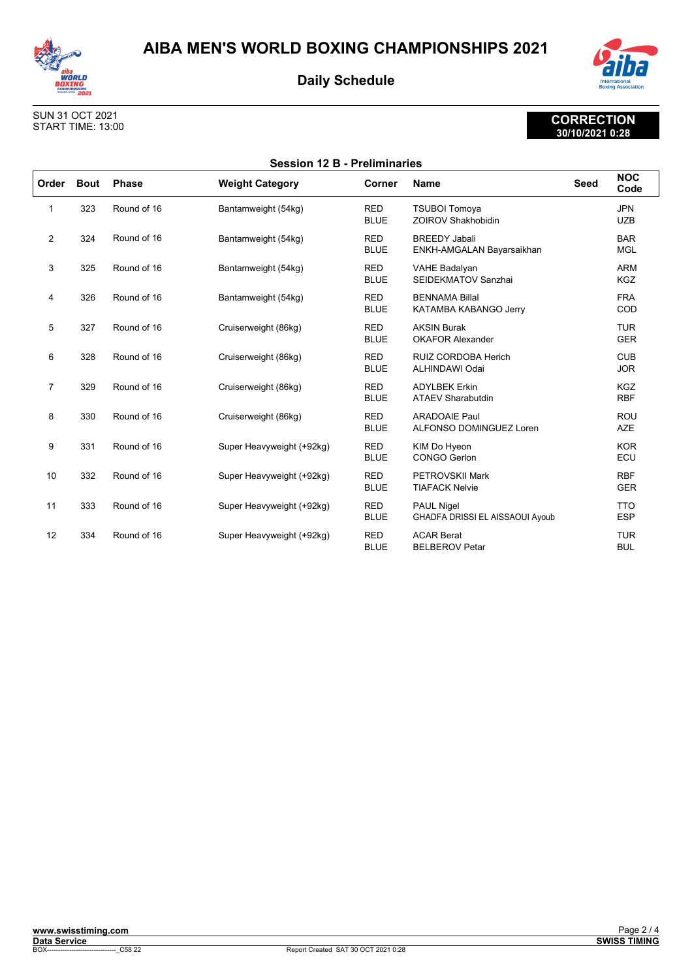



#### SUN 31 OCT 2021 START TIME: 13:00

| <b>Session 12 B - Preliminaries</b> |             |              |                           |                           |                                                             |      |                          |
|-------------------------------------|-------------|--------------|---------------------------|---------------------------|-------------------------------------------------------------|------|--------------------------|
| Order                               | <b>Bout</b> | <b>Phase</b> | <b>Weight Category</b>    | Corner                    | <b>Name</b>                                                 | Seed | <b>NOC</b><br>Code       |
| 1                                   | 323         | Round of 16  | Bantamweight (54kg)       | <b>RED</b><br><b>BLUE</b> | <b>TSUBOI Tomoya</b><br><b>ZOIROV Shakhobidin</b>           |      | <b>JPN</b><br><b>UZB</b> |
| 2                                   | 324         | Round of 16  | Bantamweight (54kg)       | <b>RED</b><br><b>BLUE</b> | <b>BREEDY Jabali</b><br>ENKH-AMGALAN Bayarsaikhan           |      | <b>BAR</b><br><b>MGL</b> |
| 3                                   | 325         | Round of 16  | Bantamweight (54kg)       | <b>RED</b><br><b>BLUE</b> | <b>VAHE Badalyan</b><br>SEIDEKMATOV Sanzhai                 |      | <b>ARM</b><br><b>KGZ</b> |
| 4                                   | 326         | Round of 16  | Bantamweight (54kg)       | <b>RED</b><br><b>BLUE</b> | <b>BENNAMA Billal</b><br>KATAMBA KABANGO Jerry              |      | <b>FRA</b><br>COD        |
| 5                                   | 327         | Round of 16  | Cruiserweight (86kg)      | <b>RED</b><br><b>BLUE</b> | <b>AKSIN Burak</b><br><b>OKAFOR Alexander</b>               |      | <b>TUR</b><br><b>GER</b> |
| 6                                   | 328         | Round of 16  | Cruiserweight (86kg)      | <b>RED</b><br><b>BLUE</b> | <b>RUIZ CORDOBA Herich</b><br>ALHINDAWI Odai                |      | <b>CUB</b><br><b>JOR</b> |
| $\overline{7}$                      | 329         | Round of 16  | Cruiserweight (86kg)      | <b>RED</b><br><b>BLUE</b> | <b>ADYLBEK Erkin</b><br><b>ATAEV Sharabutdin</b>            |      | <b>KGZ</b><br><b>RBF</b> |
| 8                                   | 330         | Round of 16  | Cruiserweight (86kg)      | <b>RED</b><br><b>BLUE</b> | <b>ARADOAIE Paul</b><br>ALFONSO DOMINGUEZ Loren             |      | <b>ROU</b><br><b>AZE</b> |
| 9                                   | 331         | Round of 16  | Super Heavyweight (+92kg) | <b>RED</b><br><b>BLUE</b> | KIM Do Hyeon<br>CONGO Gerlon                                |      | <b>KOR</b><br>ECU        |
| 10                                  | 332         | Round of 16  | Super Heavyweight (+92kg) | <b>RED</b><br><b>BLUE</b> | PETROVSKII Mark<br><b>TIAFACK Nelvie</b>                    |      | <b>RBF</b><br><b>GER</b> |
| 11                                  | 333         | Round of 16  | Super Heavyweight (+92kg) | <b>RED</b><br><b>BLUE</b> | <b>PAUL Nigel</b><br><b>GHADFA DRISSI EL AISSAOUI Ayoub</b> |      | <b>TTO</b><br><b>ESP</b> |
| 12                                  | 334         | Round of 16  | Super Heavyweight (+92kg) | <b>RED</b><br><b>BLUE</b> | <b>ACAR Berat</b><br><b>BELBEROV Petar</b>                  |      | <b>TUR</b><br><b>BUL</b> |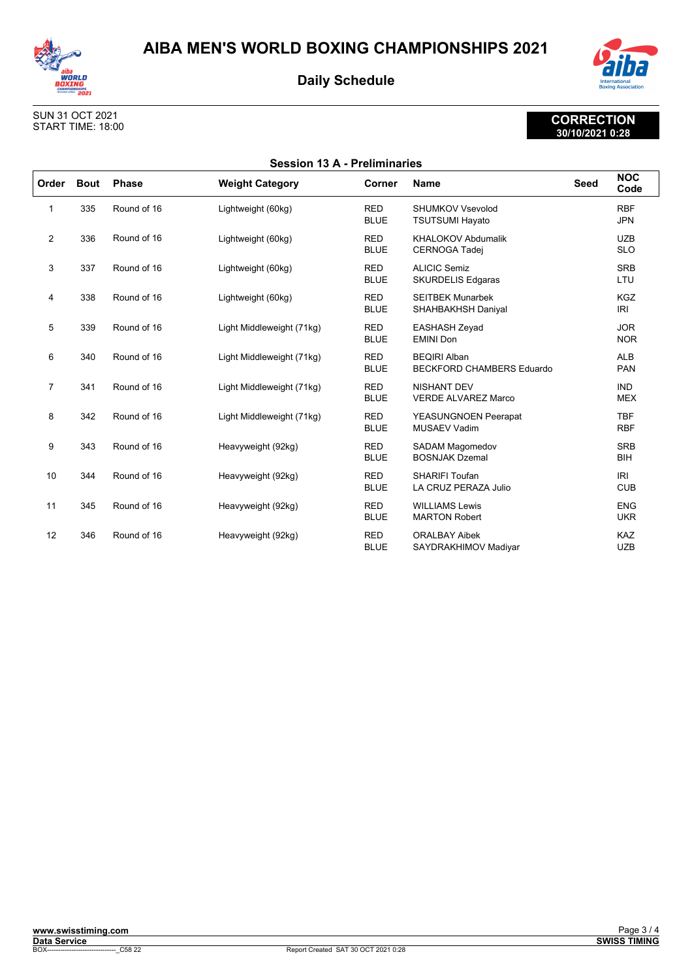



#### SUN 31 OCT 2021 START TIME: 18:00

| <b>Session 13 A - Preliminaries</b> |             |              |                           |                           |                                                         |             |                          |
|-------------------------------------|-------------|--------------|---------------------------|---------------------------|---------------------------------------------------------|-------------|--------------------------|
| Order                               | <b>Bout</b> | <b>Phase</b> | <b>Weight Category</b>    | Corner                    | <b>Name</b>                                             | <b>Seed</b> | <b>NOC</b><br>Code       |
| 1                                   | 335         | Round of 16  | Lightweight (60kg)        | <b>RED</b><br><b>BLUE</b> | SHUMKOV Vsevolod<br><b>TSUTSUMI Hayato</b>              |             | <b>RBF</b><br><b>JPN</b> |
| 2                                   | 336         | Round of 16  | Lightweight (60kg)        | <b>RED</b><br><b>BLUE</b> | <b>KHALOKOV Abdumalik</b><br><b>CERNOGA Tadej</b>       |             | <b>UZB</b><br><b>SLO</b> |
| 3                                   | 337         | Round of 16  | Lightweight (60kg)        | <b>RED</b><br><b>BLUE</b> | <b>ALICIC Semiz</b><br><b>SKURDELIS Edgaras</b>         |             | <b>SRB</b><br>LTU        |
| 4                                   | 338         | Round of 16  | Lightweight (60kg)        | <b>RED</b><br><b>BLUE</b> | <b>SEITBEK Munarbek</b><br>SHAHBAKHSH Daniyal           |             | <b>KGZ</b><br>IRI        |
| 5                                   | 339         | Round of 16  | Light Middleweight (71kg) | <b>RED</b><br><b>BLUE</b> | <b>EASHASH Zeyad</b><br><b>EMINI Don</b>                |             | <b>JOR</b><br><b>NOR</b> |
| 6                                   | 340         | Round of 16  | Light Middleweight (71kg) | <b>RED</b><br><b>BLUE</b> | <b>BEQIRI Alban</b><br><b>BECKFORD CHAMBERS Eduardo</b> |             | <b>ALB</b><br><b>PAN</b> |
| $\overline{7}$                      | 341         | Round of 16  | Light Middleweight (71kg) | <b>RED</b><br><b>BLUE</b> | <b>NISHANT DEV</b><br><b>VERDE ALVAREZ Marco</b>        |             | <b>IND</b><br><b>MEX</b> |
| 8                                   | 342         | Round of 16  | Light Middleweight (71kg) | <b>RED</b><br><b>BLUE</b> | <b>YEASUNGNOEN Peerapat</b><br><b>MUSAEV Vadim</b>      |             | <b>TBF</b><br><b>RBF</b> |
| 9                                   | 343         | Round of 16  | Heavyweight (92kg)        | <b>RED</b><br><b>BLUE</b> | <b>SADAM Magomedov</b><br><b>BOSNJAK Dzemal</b>         |             | <b>SRB</b><br><b>BIH</b> |
| 10                                  | 344         | Round of 16  | Heavyweight (92kg)        | <b>RED</b><br><b>BLUE</b> | <b>SHARIFI Toufan</b><br>LA CRUZ PERAZA Julio           |             | IRI<br><b>CUB</b>        |
| 11                                  | 345         | Round of 16  | Heavyweight (92kg)        | <b>RED</b><br><b>BLUE</b> | <b>WILLIAMS Lewis</b><br><b>MARTON Robert</b>           |             | <b>ENG</b><br><b>UKR</b> |
| 12                                  | 346         | Round of 16  | Heavyweight (92kg)        | <b>RED</b><br><b>BLUE</b> | <b>ORALBAY Aibek</b><br>SAYDRAKHIMOV Madiyar            |             | <b>KAZ</b><br><b>UZB</b> |